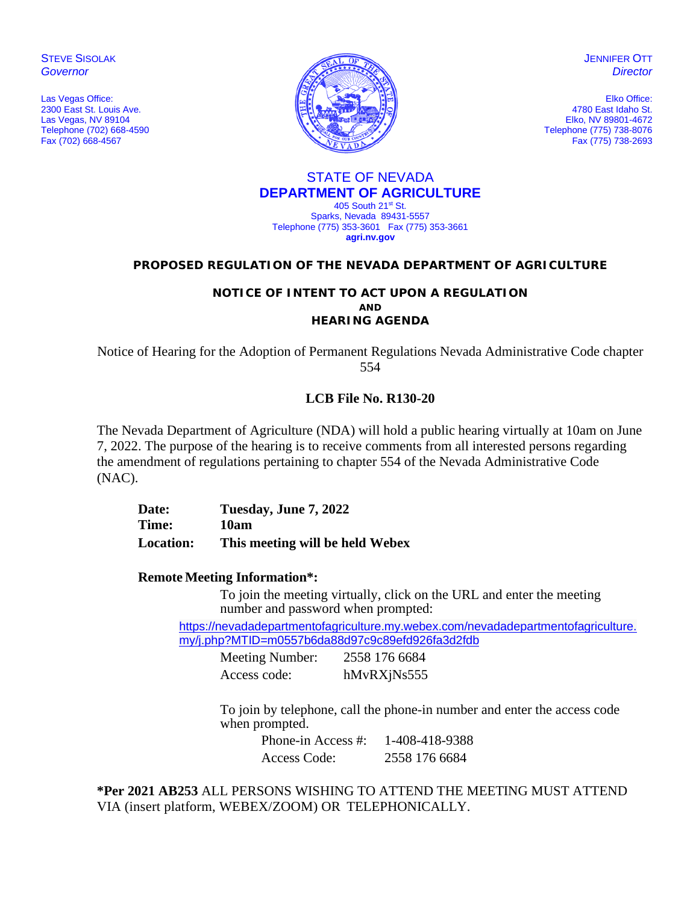**STEVE SISOLAK** *Governor*

Las Vegas Office: 2300 East St. Louis Ave. Las Vegas, NV 89104 Telephone (702) 668-4590 Fax (702) 668-4567



**JENNIFER OTT** *Director*

Elko Office: 4780 East Idaho St. Elko, NV 89801-4672 Telephone (775) 738-8076 Fax (775) 738-2693

#### STATE OF NEVADA **DEPARTMENT OF AGRICULTURE** 405 South 21st St.

Sparks, Nevada 89431-5557 Telephone (775) 353-3601 Fax (775) 353-3661 **agri.nv.gov**

## **PROPOSED REGULATION OF THE NEVADA DEPARTMENT OF AGRICULTURE**

## **NOTICE OF INTENT TO ACT UPON A REGULATION AND HEARING AGENDA**

Notice of Hearing for the Adoption of Permanent Regulations Nevada Administrative Code chapter 554

# **LCB File No. R130-20**

The Nevada Department of Agriculture (NDA) will hold a public hearing virtually at 10am on June 7, 2022. The purpose of the hearing is to receive comments from all interested persons regarding the amendment of regulations pertaining to chapter 554 of the Nevada Administrative Code (NAC).

**Date: Tuesday, June 7, 2022 Time: 10am Location: This meeting will be held Webex**

## **Remote Meeting Information\*:**

To join the meeting virtually, click on the URL and enter the meeting number and password when prompted:

[https://nevadadepartmentofagriculture.my.webex.com/nevadadepartmentofagriculture.](https://nevadadepartmentofagriculture.my.webex.com/nevadadepartmentofagriculture.my/j.php?MTID=m0557b6da88d97c9c89efd926fa3d2fdb) [my/j.php?MTID=m0557b6da88d97c9c89efd926fa3d2fdb](https://nevadadepartmentofagriculture.my.webex.com/nevadadepartmentofagriculture.my/j.php?MTID=m0557b6da88d97c9c89efd926fa3d2fdb)

Meeting Number: 2558 176 6684 Access code: hMvRXjNs555

To join by telephone, call the phone-in number and enter the access code when prompted.

Phone-in Access #: 1-408-418-9388 Access Code: 2558 176 6684

**\*Per 2021 AB253** ALL PERSONS WISHING TO ATTEND THE MEETING MUST ATTEND VIA (insert platform, WEBEX/ZOOM) OR TELEPHONICALLY.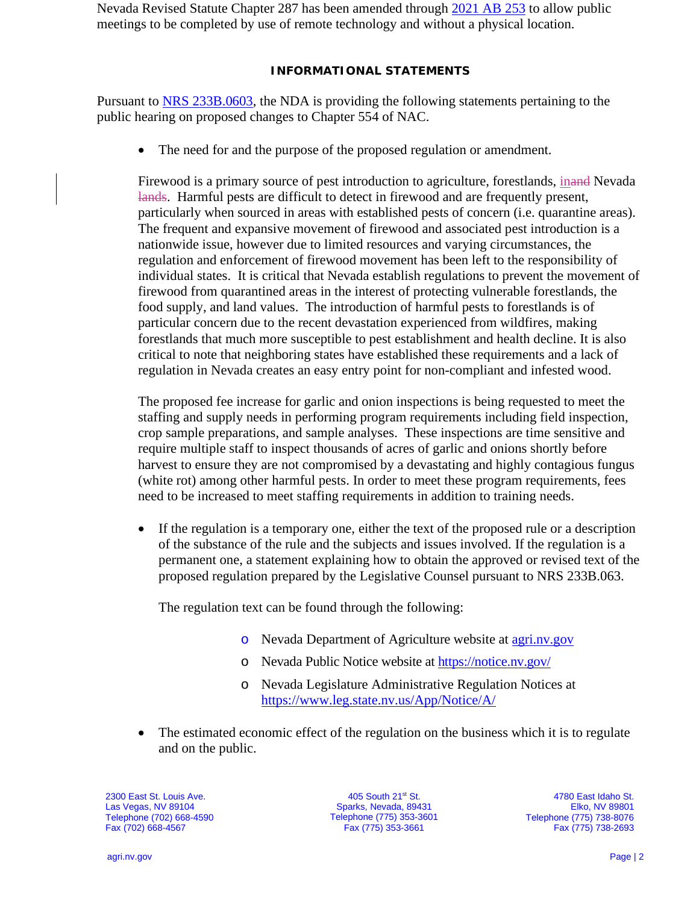Nevada Revised Statute Chapter 287 has been amended through [2021 AB 253](https://www.leg.state.nv.us/App/NELIS/REL/81st2021/Bill/7713/Text) to allow public meetings to be completed by use of remote technology and without a physical location.

## **INFORMATIONAL STATEMENTS**

Pursuant to [NRS 233B.0603,](https://www.leg.state.nv.us/NRS/NRS-233B.html#NRS233BSec0603) the NDA is providing the following statements pertaining to the public hearing on proposed changes to Chapter 554 of NAC.

• The need for and the purpose of the proposed regulation or amendment.

Firewood is a primary source of pest introduction to agriculture, forestlands, inand Nevada lands. Harmful pests are difficult to detect in firewood and are frequently present, particularly when sourced in areas with established pests of concern (i.e. quarantine areas). The frequent and expansive movement of firewood and associated pest introduction is a nationwide issue, however due to limited resources and varying circumstances, the regulation and enforcement of firewood movement has been left to the responsibility of individual states. It is critical that Nevada establish regulations to prevent the movement of firewood from quarantined areas in the interest of protecting vulnerable forestlands, the food supply, and land values. The introduction of harmful pests to forestlands is of particular concern due to the recent devastation experienced from wildfires, making forestlands that much more susceptible to pest establishment and health decline. It is also critical to note that neighboring states have established these requirements and a lack of regulation in Nevada creates an easy entry point for non-compliant and infested wood.

The proposed fee increase for garlic and onion inspections is being requested to meet the staffing and supply needs in performing program requirements including field inspection, crop sample preparations, and sample analyses. These inspections are time sensitive and require multiple staff to inspect thousands of acres of garlic and onions shortly before harvest to ensure they are not compromised by a devastating and highly contagious fungus (white rot) among other harmful pests. In order to meet these program requirements, fees need to be increased to meet staffing requirements in addition to training needs.

• If the regulation is a temporary one, either the text of the proposed rule or a description of the substance of the rule and the subjects and issues involved. If the regulation is a permanent one, a statement explaining how to obtain the approved or revised text of the proposed regulation prepared by the Legislative Counsel pursuant to NRS 233B.063.

The regulation text can be found through the following:

- o Nevada Department of Agriculture website at [agri.nv.gov](http://agri.nv.gov/Animals/Animal_Industries_Hearings,_Workshops,_Meetings/)
- o Nevada Public Notice website at<https://notice.nv.gov/>
- o Nevada Legislature Administrative Regulation Notices at <https://www.leg.state.nv.us/App/Notice/A/>
- The estimated economic effect of the regulation on the business which it is to regulate and on the public.

2300 East St. Louis Ave. Las Vegas, NV 89104 Telephone (702) 668-4590 Fax (702) 668-4567

405 South 21st St. Sparks, Nevada, 89431 Telephone (775) 353-3601 Fax (775) 353-3661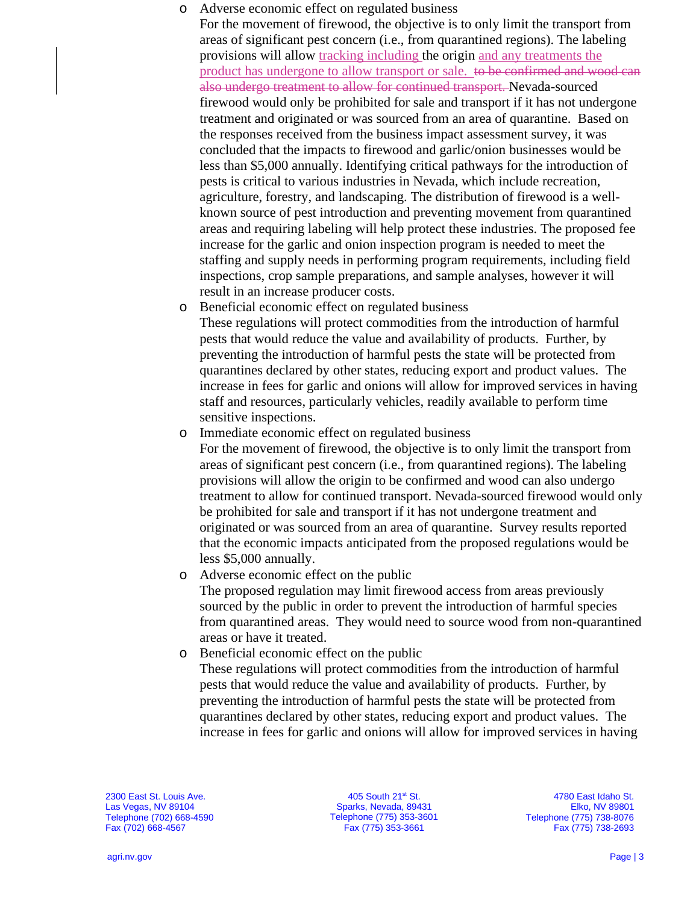## o Adverse economic effect on regulated business

For the movement of firewood, the objective is to only limit the transport from areas of significant pest concern (i.e., from quarantined regions). The labeling provisions will allow tracking including the origin and any treatments the product has undergone to allow transport or sale. to be confirmed and wood can also undergo treatment to allow for continued transport. Nevada-sourced firewood would only be prohibited for sale and transport if it has not undergone treatment and originated or was sourced from an area of quarantine. Based on the responses received from the business impact assessment survey, it was concluded that the impacts to firewood and garlic/onion businesses would be less than \$5,000 annually. Identifying critical pathways for the introduction of pests is critical to various industries in Nevada, which include recreation, agriculture, forestry, and landscaping. The distribution of firewood is a wellknown source of pest introduction and preventing movement from quarantined areas and requiring labeling will help protect these industries. The proposed fee increase for the garlic and onion inspection program is needed to meet the staffing and supply needs in performing program requirements, including field inspections, crop sample preparations, and sample analyses, however it will result in an increase producer costs.

- o Beneficial economic effect on regulated business These regulations will protect commodities from the introduction of harmful pests that would reduce the value and availability of products. Further, by preventing the introduction of harmful pests the state will be protected from quarantines declared by other states, reducing export and product values. The increase in fees for garlic and onions will allow for improved services in having staff and resources, particularly vehicles, readily available to perform time sensitive inspections.
- o Immediate economic effect on regulated business

For the movement of firewood, the objective is to only limit the transport from areas of significant pest concern (i.e., from quarantined regions). The labeling provisions will allow the origin to be confirmed and wood can also undergo treatment to allow for continued transport. Nevada-sourced firewood would only be prohibited for sale and transport if it has not undergone treatment and originated or was sourced from an area of quarantine. Survey results reported that the economic impacts anticipated from the proposed regulations would be less \$5,000 annually.

o Adverse economic effect on the public

The proposed regulation may limit firewood access from areas previously sourced by the public in order to prevent the introduction of harmful species from quarantined areas. They would need to source wood from non-quarantined areas or have it treated.

o Beneficial economic effect on the public

These regulations will protect commodities from the introduction of harmful pests that would reduce the value and availability of products. Further, by preventing the introduction of harmful pests the state will be protected from quarantines declared by other states, reducing export and product values. The increase in fees for garlic and onions will allow for improved services in having

2300 East St. Louis Ave. Las Vegas, NV 89104 Telephone (702) 668-4590 Fax (702) 668-4567

405 South 21st St. Sparks, Nevada, 89431 Telephone (775) 353-3601 Fax (775) 353-3661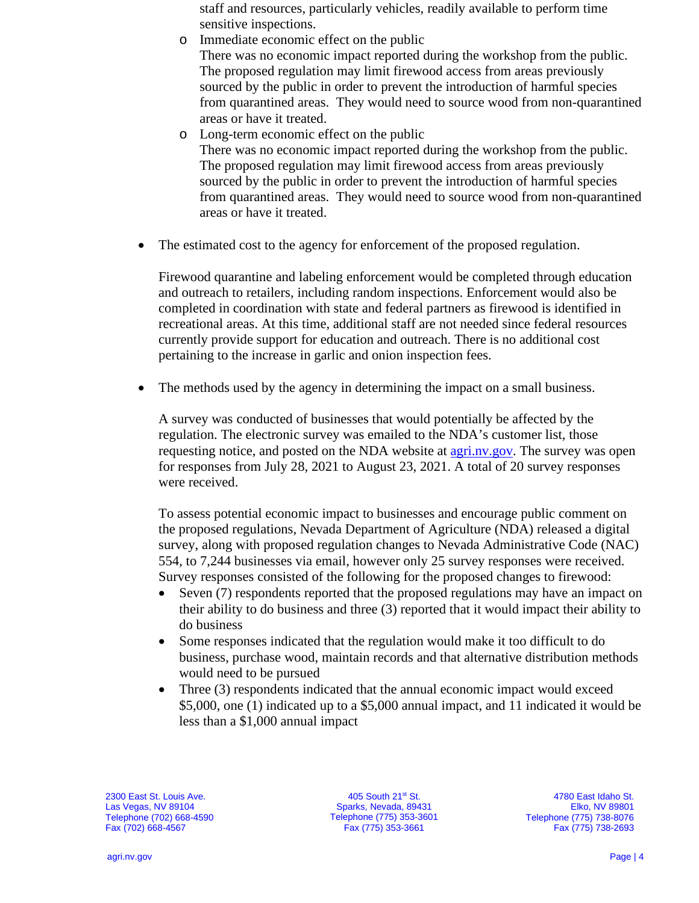staff and resources, particularly vehicles, readily available to perform time sensitive inspections.

- o Immediate economic effect on the public There was no economic impact reported during the workshop from the public. The proposed regulation may limit firewood access from areas previously sourced by the public in order to prevent the introduction of harmful species from quarantined areas. They would need to source wood from non-quarantined areas or have it treated.
- o Long-term economic effect on the public There was no economic impact reported during the workshop from the public. The proposed regulation may limit firewood access from areas previously sourced by the public in order to prevent the introduction of harmful species from quarantined areas. They would need to source wood from non-quarantined areas or have it treated.
- The estimated cost to the agency for enforcement of the proposed regulation.

Firewood quarantine and labeling enforcement would be completed through education and outreach to retailers, including random inspections. Enforcement would also be completed in coordination with state and federal partners as firewood is identified in recreational areas. At this time, additional staff are not needed since federal resources currently provide support for education and outreach. There is no additional cost pertaining to the increase in garlic and onion inspection fees.

The methods used by the agency in determining the impact on a small business.

A survey was conducted of businesses that would potentially be affected by the regulation. The electronic survey was emailed to the NDA's customer list, those requesting notice, and posted on the NDA website at [agri.nv.gov.](https://agri.nv.gov/survey/) The survey was open for responses from July 28, 2021 to August 23, 2021. A total of 20 survey responses were received.

To assess potential economic impact to businesses and encourage public comment on the proposed regulations, Nevada Department of Agriculture (NDA) released a digital survey, along with proposed regulation changes to Nevada Administrative Code (NAC) 554, to 7,244 businesses via email, however only 25 survey responses were received. Survey responses consisted of the following for the proposed changes to firewood:

- Seven (7) respondents reported that the proposed regulations may have an impact on their ability to do business and three (3) reported that it would impact their ability to do business
- Some responses indicated that the regulation would make it too difficult to do business, purchase wood, maintain records and that alternative distribution methods would need to be pursued
- Three (3) respondents indicated that the annual economic impact would exceed \$5,000, one (1) indicated up to a \$5,000 annual impact, and 11 indicated it would be less than a \$1,000 annual impact

2300 East St. Louis Ave. Las Vegas, NV 89104 Telephone (702) 668-4590 Fax (702) 668-4567

405 South 21st St. Sparks, Nevada, 89431 Telephone (775) 353-3601 Fax (775) 353-3661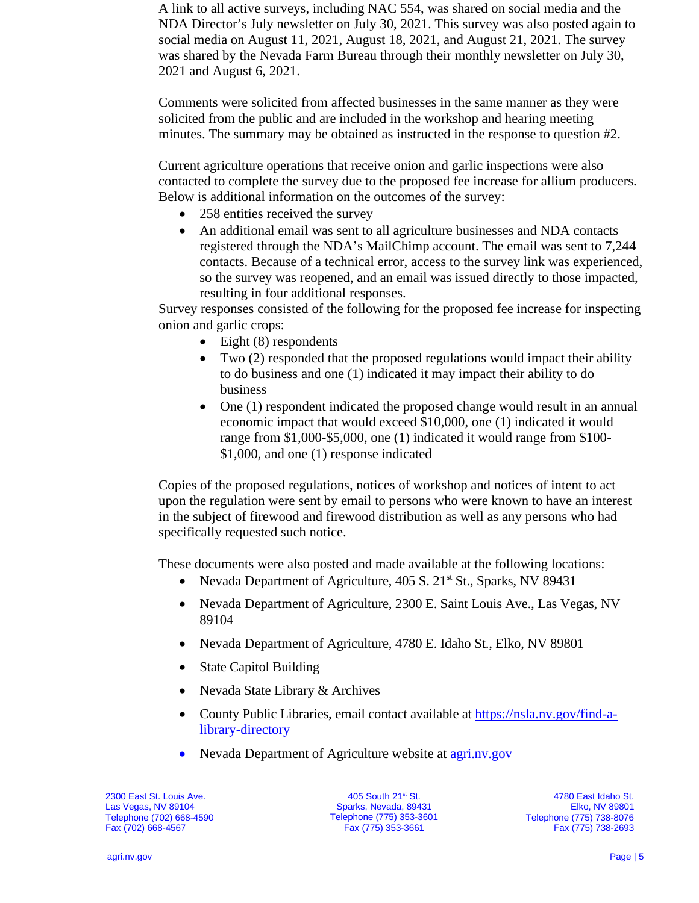A link to all active surveys, including NAC 554, was shared on social media and the NDA Director's July newsletter on July 30, 2021. This survey was also posted again to social media on August 11, 2021, August 18, 2021, and August 21, 2021. The survey was shared by the Nevada Farm Bureau through their monthly newsletter on July 30, 2021 and August 6, 2021.

Comments were solicited from affected businesses in the same manner as they were solicited from the public and are included in the workshop and hearing meeting minutes. The summary may be obtained as instructed in the response to question #2.

Current agriculture operations that receive onion and garlic inspections were also contacted to complete the survey due to the proposed fee increase for allium producers. Below is additional information on the outcomes of the survey:

- 258 entities received the survey
- An additional email was sent to all agriculture businesses and NDA contacts registered through the NDA's MailChimp account. The email was sent to 7,244 contacts. Because of a technical error, access to the survey link was experienced, so the survey was reopened, and an email was issued directly to those impacted, resulting in four additional responses.

Survey responses consisted of the following for the proposed fee increase for inspecting onion and garlic crops:

- Eight  $(8)$  respondents
- Two (2) responded that the proposed regulations would impact their ability to do business and one (1) indicated it may impact their ability to do business
- One (1) respondent indicated the proposed change would result in an annual economic impact that would exceed \$10,000, one (1) indicated it would range from \$1,000-\$5,000, one (1) indicated it would range from \$100- \$1,000, and one (1) response indicated

Copies of the proposed regulations, notices of workshop and notices of intent to act upon the regulation were sent by email to persons who were known to have an interest in the subject of firewood and firewood distribution as well as any persons who had specifically requested such notice.

These documents were also posted and made available at the following locations:

- Nevada Department of Agriculture,  $405 S$ .  $21<sup>st</sup> St.$ , Sparks, NV 89431
- Nevada Department of Agriculture, 2300 E. Saint Louis Ave., Las Vegas, NV 89104
- Nevada Department of Agriculture, 4780 E. Idaho St., Elko, NV 89801
- State Capitol Building
- Nevada State Library & Archives
- County Public Libraries, email contact available at [https://nsla.nv.gov/find-a](https://nsla.nv.gov/find-a-library-directory)[library-directory](https://nsla.nv.gov/find-a-library-directory)
- Nevada Department of Agriculture website at [agri.nv.gov](http://agri.nv.gov/Animals/Animal_Industries_Hearings,_Workshops,_Meetings/)

2300 East St. Louis Ave. Las Vegas, NV 89104 Telephone (702) 668-4590 Fax (702) 668-4567

405 South 21st St. Sparks, Nevada, 89431 Telephone (775) 353-3601 Fax (775) 353-3661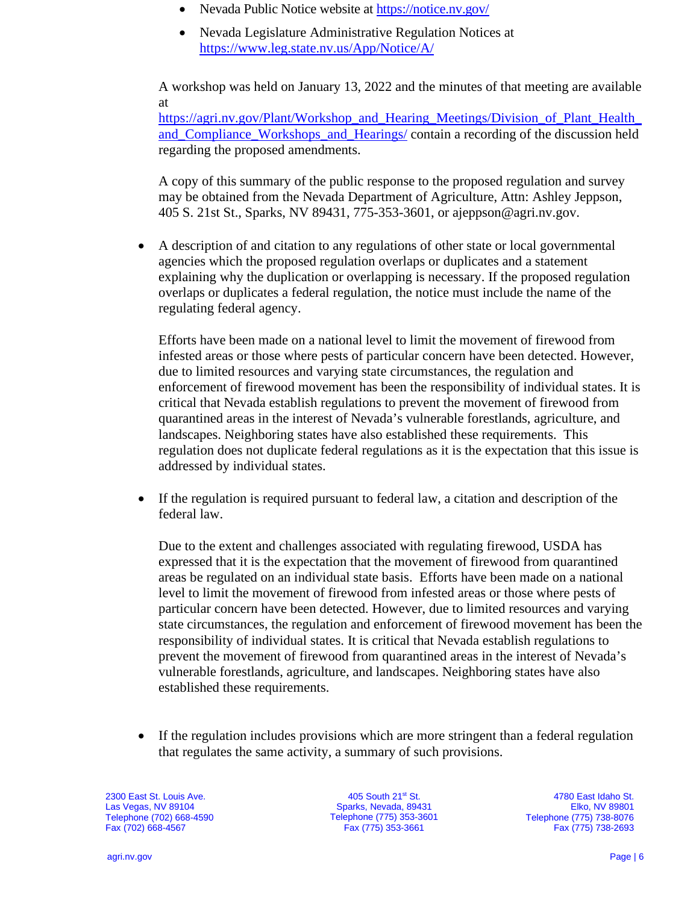- Nevada Public Notice website at<https://notice.nv.gov/>
- Nevada Legislature Administrative Regulation Notices at <https://www.leg.state.nv.us/App/Notice/A/>

A workshop was held on January 13, 2022 and the minutes of that meeting are available at

[https://agri.nv.gov/Plant/Workshop\\_and\\_Hearing\\_Meetings/Division\\_of\\_Plant\\_Health\\_](https://agri.nv.gov/Plant/Workshop_and_Hearing_Meetings/Division_of_Plant_Health_and_Compliance_Workshops_and_Hearings/) [and\\_Compliance\\_Workshops\\_and\\_Hearings/](https://agri.nv.gov/Plant/Workshop_and_Hearing_Meetings/Division_of_Plant_Health_and_Compliance_Workshops_and_Hearings/) contain a recording of the discussion held regarding the proposed amendments.

A copy of this summary of the public response to the proposed regulation and survey may be obtained from the Nevada Department of Agriculture, Attn: Ashley Jeppson, 405 S. 21st St., Sparks, NV 89431, 775-353-3601, or ajeppson@agri.nv.gov.

• A description of and citation to any regulations of other state or local governmental agencies which the proposed regulation overlaps or duplicates and a statement explaining why the duplication or overlapping is necessary. If the proposed regulation overlaps or duplicates a federal regulation, the notice must include the name of the regulating federal agency.

Efforts have been made on a national level to limit the movement of firewood from infested areas or those where pests of particular concern have been detected. However, due to limited resources and varying state circumstances, the regulation and enforcement of firewood movement has been the responsibility of individual states. It is critical that Nevada establish regulations to prevent the movement of firewood from quarantined areas in the interest of Nevada's vulnerable forestlands, agriculture, and landscapes. Neighboring states have also established these requirements. This regulation does not duplicate federal regulations as it is the expectation that this issue is addressed by individual states.

• If the regulation is required pursuant to federal law, a citation and description of the federal law.

Due to the extent and challenges associated with regulating firewood, USDA has expressed that it is the expectation that the movement of firewood from quarantined areas be regulated on an individual state basis. Efforts have been made on a national level to limit the movement of firewood from infested areas or those where pests of particular concern have been detected. However, due to limited resources and varying state circumstances, the regulation and enforcement of firewood movement has been the responsibility of individual states. It is critical that Nevada establish regulations to prevent the movement of firewood from quarantined areas in the interest of Nevada's vulnerable forestlands, agriculture, and landscapes. Neighboring states have also established these requirements.

• If the regulation includes provisions which are more stringent than a federal regulation that regulates the same activity, a summary of such provisions.

2300 East St. Louis Ave. Las Vegas, NV 89104 Telephone (702) 668-4590 Fax (702) 668-4567

405 South 21st St. Sparks, Nevada, 89431 Telephone (775) 353-3601 Fax (775) 353-3661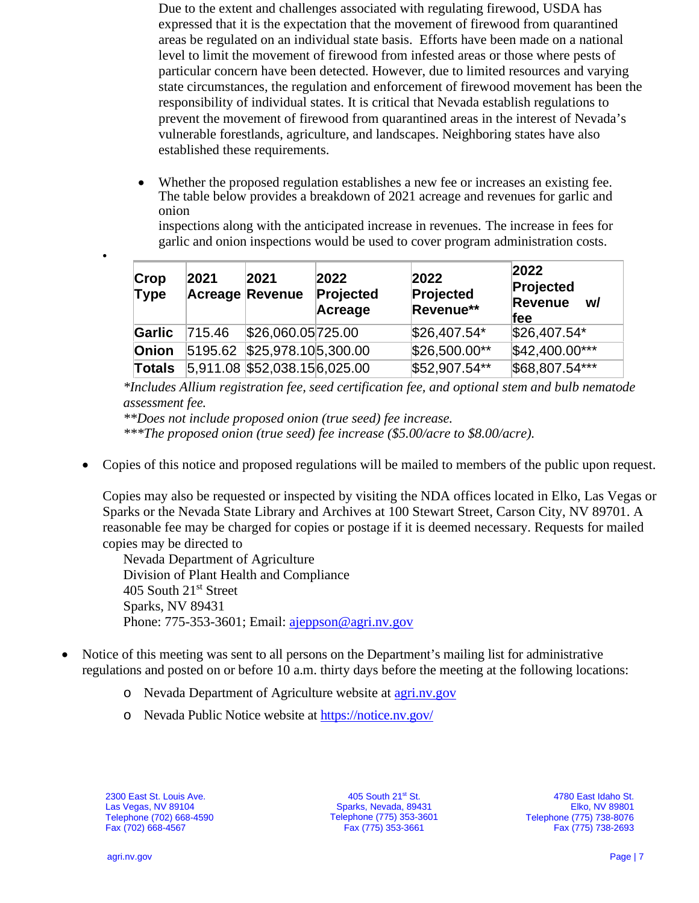Due to the extent and challenges associated with regulating firewood, USDA has expressed that it is the expectation that the movement of firewood from quarantined areas be regulated on an individual state basis. Efforts have been made on a national level to limit the movement of firewood from infested areas or those where pests of particular concern have been detected. However, due to limited resources and varying state circumstances, the regulation and enforcement of firewood movement has been the responsibility of individual states. It is critical that Nevada establish regulations to prevent the movement of firewood from quarantined areas in the interest of Nevada's vulnerable forestlands, agriculture, and landscapes. Neighboring states have also established these requirements.

• Whether the proposed regulation establishes a new fee or increases an existing fee. The table below provides a breakdown of 2021 acreage and revenues for garlic and onion

inspections along with the anticipated increase in revenues. The increase in fees for garlic and onion inspections would be used to cover program administration costs.

| Crop<br>Type  | 2021   | 2021<br><b>Acreage Revenue</b> | 2022<br>Projected<br>Acreage | 2022<br>Projected<br>Revenue** | 2022<br>Projected<br><b>Revenue</b><br>w/<br><b>fee</b> |
|---------------|--------|--------------------------------|------------------------------|--------------------------------|---------------------------------------------------------|
| Garlic        | 715.46 | \$26,060.05725.00              |                              | \$26,407.54*                   | $$26,407.54*$                                           |
| Onion         |        | 5195.62 \$25,978.105,300.00    |                              | \$26,500.00**                  | \$42,400.00***                                          |
| <b>Totals</b> |        | 5,911.08 \$52,038.156,025.00   |                              | \$52,907.54**                  | \$68,807.54***                                          |

*\*Includes Allium registration fee, seed certification fee, and optional stem and bulb nematode assessment fee.*

*\*\*Does not include proposed onion (true seed) fee increase.*

*\*\*\*The proposed onion (true seed) fee increase (\$5.00/acre to \$8.00/acre).*

• Copies of this notice and proposed regulations will be mailed to members of the public upon request.

Copies may also be requested or inspected by visiting the NDA offices located in Elko, Las Vegas or Sparks or the Nevada State Library and Archives at 100 Stewart Street, Carson City, NV 89701. A reasonable fee may be charged for copies or postage if it is deemed necessary. Requests for mailed copies may be directed to

Nevada Department of Agriculture Division of Plant Health and Compliance 405 South 21<sup>st</sup> Street Sparks, NV 89431 Phone: 775-353-3601; Email: [ajeppson@agri.nv.gov](mailto:ajeppson@agri.nv.gov)

- Notice of this meeting was sent to all persons on the Department's mailing list for administrative regulations and posted on or before 10 a.m. thirty days before the meeting at the following locations:
	- o Nevada Department of Agriculture website at [agri.nv.gov](http://agri.nv.gov/Animals/Animal_Industries_Hearings,_Workshops,_Meetings/)
	- o Nevada Public Notice website at<https://notice.nv.gov/>

2300 East St. Louis Ave. Las Vegas, NV 89104 Telephone (702) 668-4590 Fax (702) 668-4567

405 South 21st St. Sparks, Nevada, 89431 Telephone (775) 353-3601 Fax (775) 353-3661

4780 East Idaho St. Elko, NV 89801 Telephone (775) 738-8076 Fax (775) 738-2693

•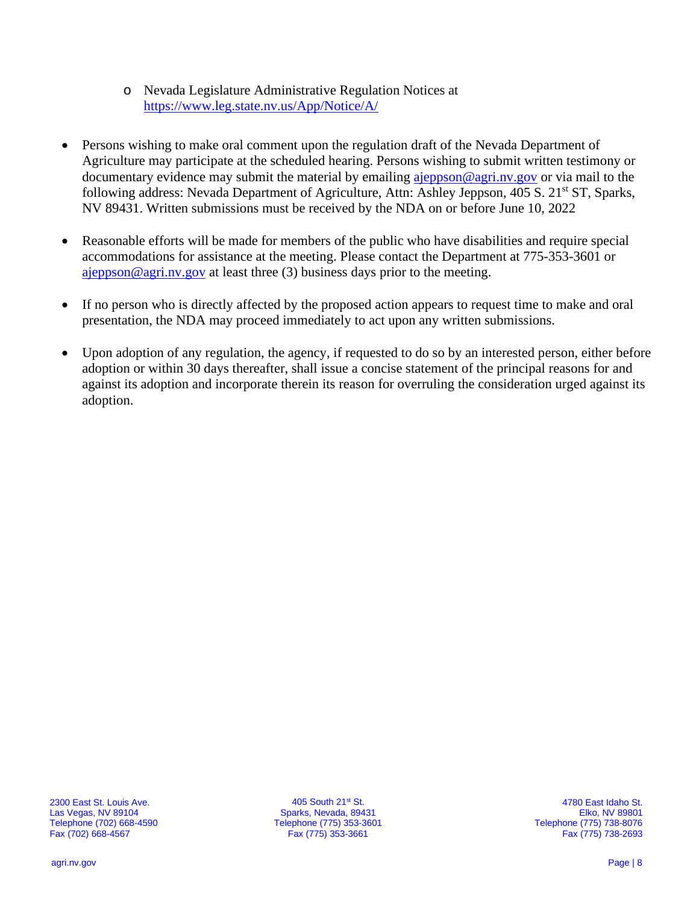- o Nevada Legislature Administrative Regulation Notices at <https://www.leg.state.nv.us/App/Notice/A/>
- Persons wishing to make oral comment upon the regulation draft of the Nevada Department of Agriculture may participate at the scheduled hearing. Persons wishing to submit written testimony or documentary evidence may submit the material by emailing [ajeppson@agri.nv.gov](mailto:ajeppson@agri.nv.gov) or via mail to the following address: Nevada Department of Agriculture, Attn: Ashley Jeppson, 405 S. 21<sup>st</sup> ST, Sparks, NV 89431. Written submissions must be received by the NDA on or before June 10, 2022
- Reasonable efforts will be made for members of the public who have disabilities and require special accommodations for assistance at the meeting. Please contact the Department at 775-353-3601 or [ajeppson@agri.nv.gov](mailto:ajeppson@agri.nv.gov) at least three (3) business days prior to the meeting.
- If no person who is directly affected by the proposed action appears to request time to make and oral presentation, the NDA may proceed immediately to act upon any written submissions.
- Upon adoption of any regulation, the agency, if requested to do so by an interested person, either before adoption or within 30 days thereafter, shall issue a concise statement of the principal reasons for and against its adoption and incorporate therein its reason for overruling the consideration urged against its adoption.

405 South 21st St. Sparks, Nevada, 89431 Telephone (775) 353-3601 Fax (775) 353-3661